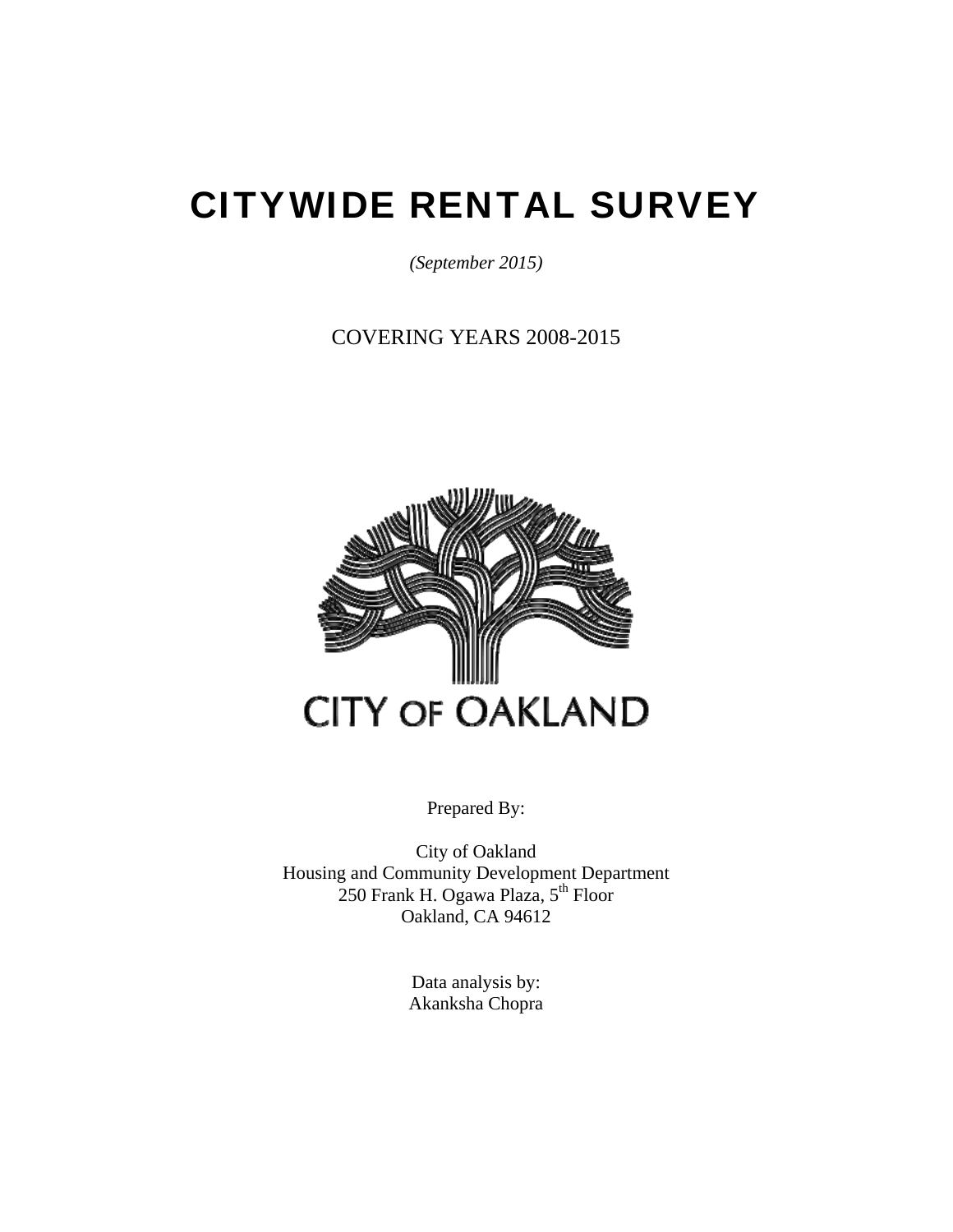# CITYWIDE RENTAL SURVEY

*(September 2015)* 

COVERING YEARS 2008-2015



Prepared By:

City of Oakland Housing and Community Development Department  $250$  Frank H. Ogawa Plaza,  $5<sup>th</sup>$  Floor Oakland, CA 94612

> Data analysis by: Akanksha Chopra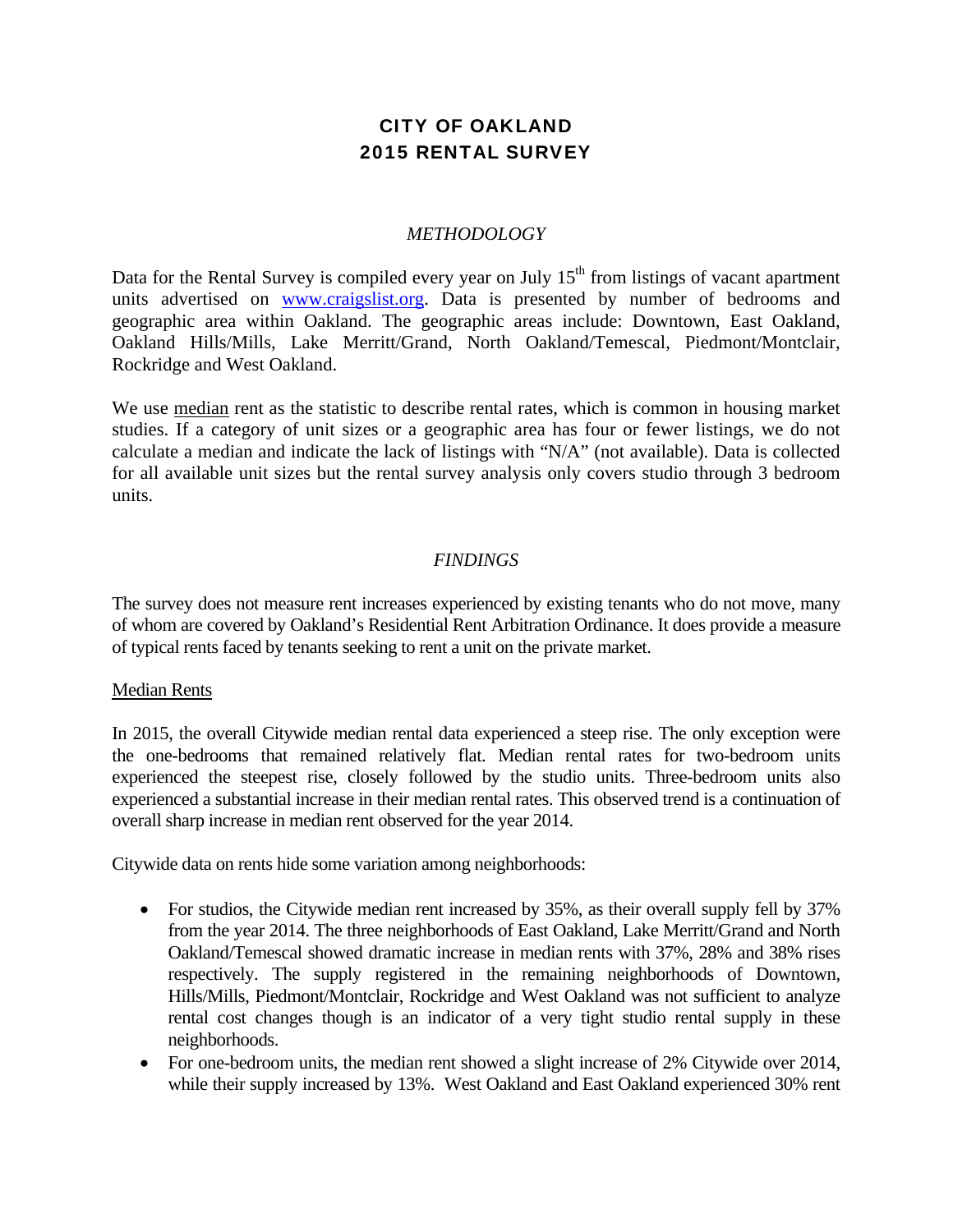## CITY OF OAKLAND 2015 RENTAL SURVEY

#### *METHODOLOGY*

Data for the Rental Survey is compiled every year on July  $15<sup>th</sup>$  from listings of vacant apartment units advertised on www.craigslist.org. Data is presented by number of bedrooms and geographic area within Oakland. The geographic areas include: Downtown, East Oakland, Oakland Hills/Mills, Lake Merritt/Grand, North Oakland/Temescal, Piedmont/Montclair, Rockridge and West Oakland.

We use median rent as the statistic to describe rental rates, which is common in housing market studies. If a category of unit sizes or a geographic area has four or fewer listings, we do not calculate a median and indicate the lack of listings with "N/A" (not available). Data is collected for all available unit sizes but the rental survey analysis only covers studio through 3 bedroom units.

#### *FINDINGS*

The survey does not measure rent increases experienced by existing tenants who do not move, many of whom are covered by Oakland's Residential Rent Arbitration Ordinance. It does provide a measure of typical rents faced by tenants seeking to rent a unit on the private market.

#### Median Rents

In 2015, the overall Citywide median rental data experienced a steep rise. The only exception were the one-bedrooms that remained relatively flat. Median rental rates for two-bedroom units experienced the steepest rise, closely followed by the studio units. Three-bedroom units also experienced a substantial increase in their median rental rates. This observed trend is a continuation of overall sharp increase in median rent observed for the year 2014.

Citywide data on rents hide some variation among neighborhoods:

- For studios, the Citywide median rent increased by 35%, as their overall supply fell by 37% from the year 2014. The three neighborhoods of East Oakland, Lake Merritt/Grand and North Oakland/Temescal showed dramatic increase in median rents with 37%, 28% and 38% rises respectively. The supply registered in the remaining neighborhoods of Downtown, Hills/Mills, Piedmont/Montclair, Rockridge and West Oakland was not sufficient to analyze rental cost changes though is an indicator of a very tight studio rental supply in these neighborhoods.
- For one-bedroom units, the median rent showed a slight increase of 2% Citywide over 2014, while their supply increased by 13%. West Oakland and East Oakland experienced 30% rent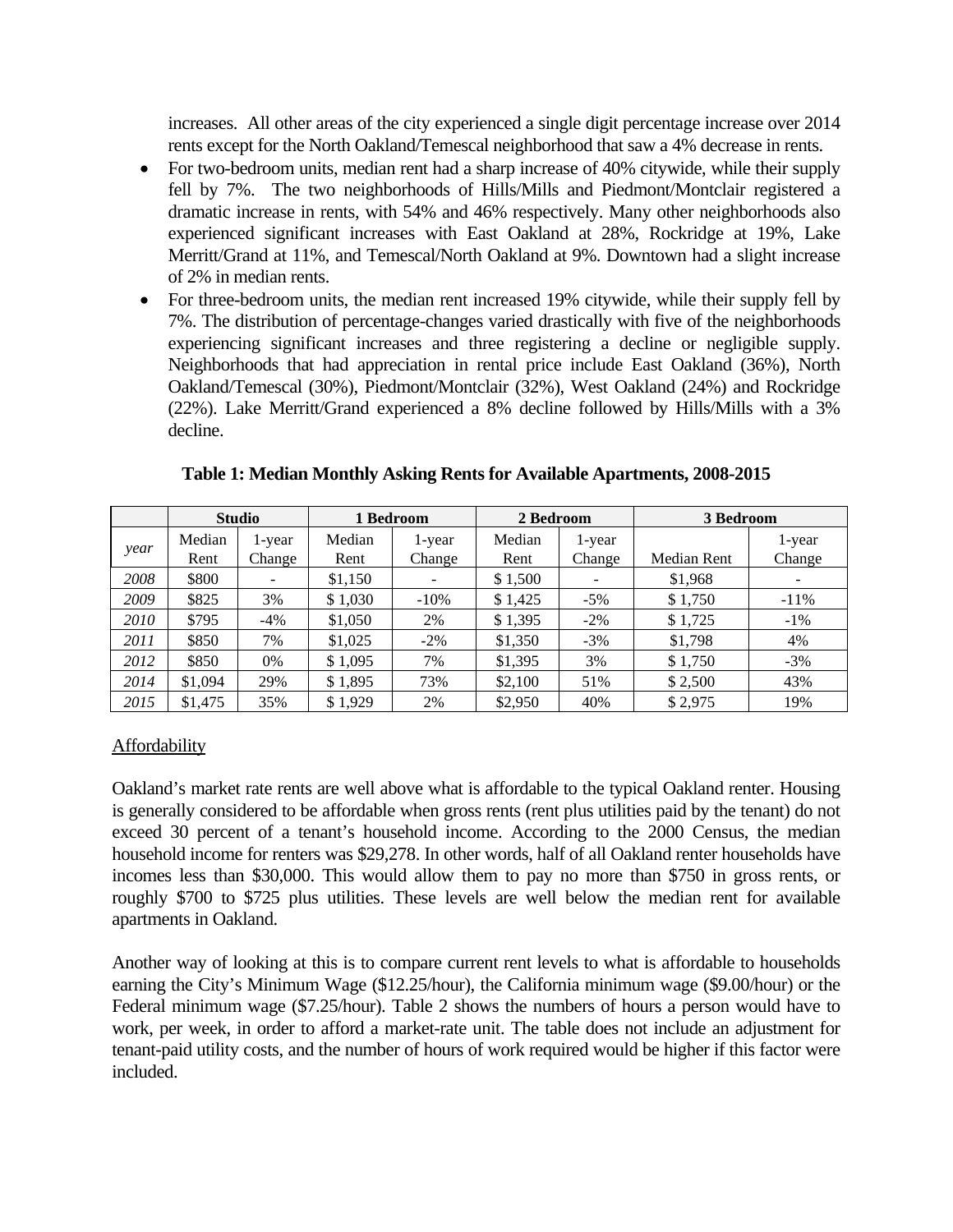increases. All other areas of the city experienced a single digit percentage increase over 2014 rents except for the North Oakland/Temescal neighborhood that saw a 4% decrease in rents.

- For two-bedroom units, median rent had a sharp increase of 40% citywide, while their supply fell by 7%. The two neighborhoods of Hills/Mills and Piedmont/Montclair registered a dramatic increase in rents, with 54% and 46% respectively. Many other neighborhoods also experienced significant increases with East Oakland at 28%, Rockridge at 19%, Lake Merritt/Grand at 11%, and Temescal/North Oakland at 9%. Downtown had a slight increase of 2% in median rents.
- For three-bedroom units, the median rent increased 19% citywide, while their supply fell by 7%. The distribution of percentage-changes varied drastically with five of the neighborhoods experiencing significant increases and three registering a decline or negligible supply. Neighborhoods that had appreciation in rental price include East Oakland (36%), North Oakland/Temescal (30%), Piedmont/Montclair (32%), West Oakland (24%) and Rockridge (22%). Lake Merritt/Grand experienced a 8% decline followed by Hills/Mills with a 3% decline.

|      |                | <b>Studio</b>            |                | 1 Bedroom        | 2 Bedroom      |                  | 3 Bedroom   |                  |
|------|----------------|--------------------------|----------------|------------------|----------------|------------------|-------------|------------------|
| year | Median<br>Rent | 1-year<br>Change         | Median<br>Rent | 1-year<br>Change | Median<br>Rent | l-year<br>Change | Median Rent | 1-year<br>Change |
| 2008 | \$800          | $\overline{\phantom{a}}$ | \$1,150        |                  | \$1,500        |                  | \$1,968     |                  |
| 2009 | \$825          | 3%                       | \$1,030        | $-10%$           | \$1,425        | $-5\%$           | \$1,750     | $-11\%$          |
| 2010 | \$795          | $-4%$                    | \$1,050        | 2%               | \$1,395        | $-2\%$           | \$1,725     | $-1\%$           |
| 2011 | \$850          | 7%                       | \$1,025        | $-2\%$           | \$1,350        | $-3%$            | \$1,798     | 4%               |
| 2012 | \$850          | 0%                       | \$1.095        | 7%               | \$1,395        | 3%               | \$1,750     | $-3%$            |
| 2014 | \$1,094        | 29%                      | \$1,895        | 73%              | \$2,100        | 51%              | \$2,500     | 43%              |
| 2015 | \$1,475        | 35%                      | \$1.929        | 2%               | \$2,950        | 40%              | \$2,975     | 19%              |

**Table 1: Median Monthly Asking Rents for Available Apartments, 2008-2015** 

## Affordability

Oakland's market rate rents are well above what is affordable to the typical Oakland renter. Housing is generally considered to be affordable when gross rents (rent plus utilities paid by the tenant) do not exceed 30 percent of a tenant's household income. According to the 2000 Census, the median household income for renters was \$29,278. In other words, half of all Oakland renter households have incomes less than \$30,000. This would allow them to pay no more than \$750 in gross rents, or roughly \$700 to \$725 plus utilities. These levels are well below the median rent for available apartments in Oakland.

Another way of looking at this is to compare current rent levels to what is affordable to households earning the City's Minimum Wage (\$12.25/hour), the California minimum wage (\$9.00/hour) or the Federal minimum wage (\$7.25/hour). Table 2 shows the numbers of hours a person would have to work, per week, in order to afford a market-rate unit. The table does not include an adjustment for tenant-paid utility costs, and the number of hours of work required would be higher if this factor were included.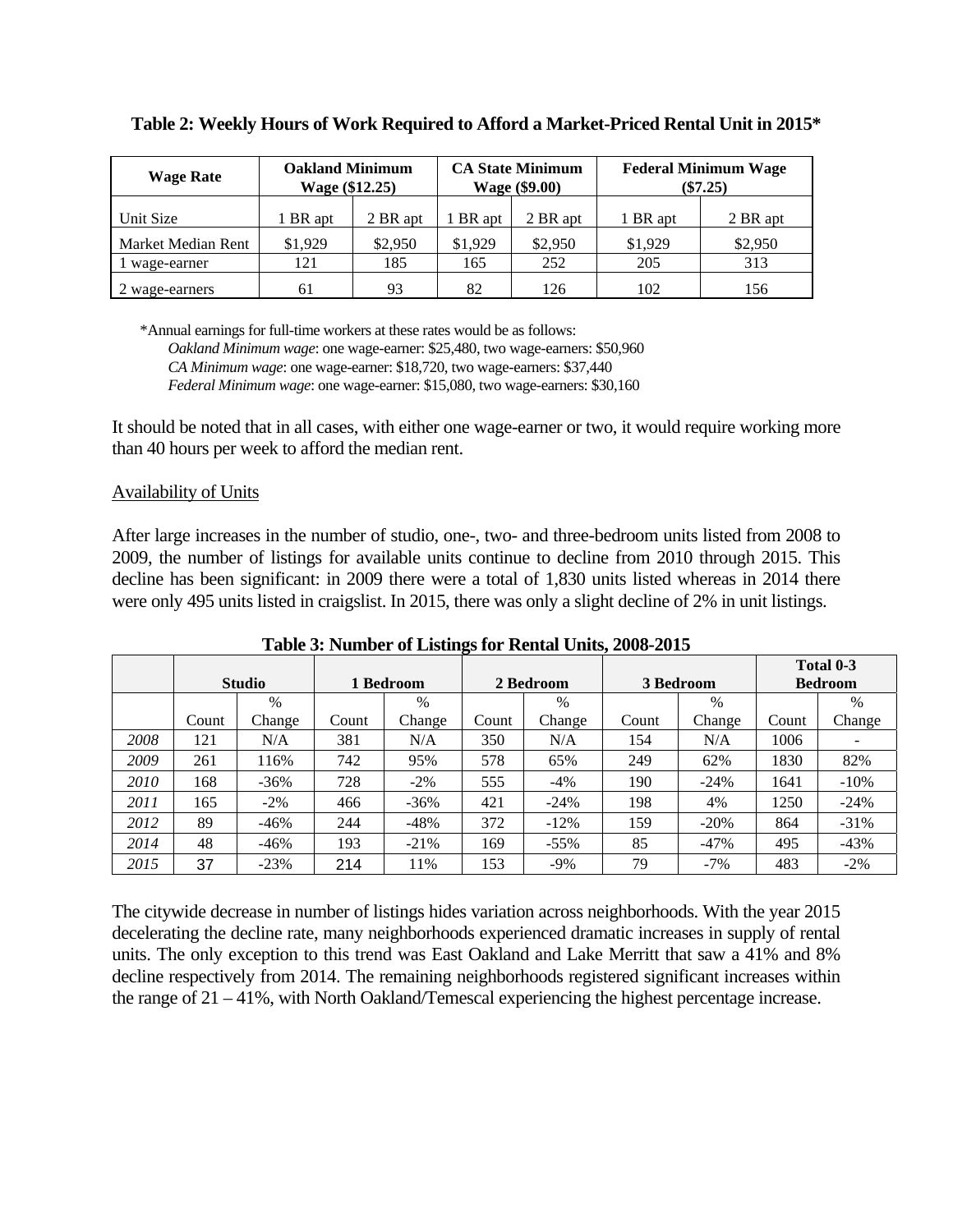| <b>Wage Rate</b>   | <b>Oakland Minimum</b><br>Wage (\$12.25) |          |         | <b>CA State Minimum</b><br>Wage (\$9.00) |          | <b>Federal Minimum Wage</b><br>$(\$7.25)$ |
|--------------------|------------------------------------------|----------|---------|------------------------------------------|----------|-------------------------------------------|
| Unit Size          | BR apt                                   | 2 BR apt | BR apt  | 2 BR apt                                 | 1 BR apt | 2 BR apt                                  |
| Market Median Rent | \$1,929                                  | \$2,950  | \$1.929 | \$2,950                                  | \$1,929  | \$2,950                                   |
| l wage-earner      | 121                                      | 185      | 165     | 252                                      | 205      | 313                                       |
| 2 wage-earners     | 61                                       | 93       | 82      | 126                                      | 102      | 156                                       |

|  | Table 2: Weekly Hours of Work Required to Afford a Market-Priced Rental Unit in 2015* |  |
|--|---------------------------------------------------------------------------------------|--|
|  |                                                                                       |  |

\*Annual earnings for full-time workers at these rates would be as follows:

*Oakland Minimum wage*: one wage-earner: \$25,480, two wage-earners: \$50,960 *CA Minimum wage*: one wage-earner: \$18,720, two wage-earners: \$37,440

*Federal Minimum wage*: one wage-earner: \$15,080, two wage-earners: \$30,160

It should be noted that in all cases, with either one wage-earner or two, it would require working more than 40 hours per week to afford the median rent.

### Availability of Units

After large increases in the number of studio, one-, two- and three-bedroom units listed from 2008 to 2009, the number of listings for available units continue to decline from 2010 through 2015. This decline has been significant: in 2009 there were a total of 1,830 units listed whereas in 2014 there were only 495 units listed in craigslist. In 2015, there was only a slight decline of 2% in unit listings.

|      |       |               |       |           |       |           |       |               |       | Total 0-3      |
|------|-------|---------------|-------|-----------|-------|-----------|-------|---------------|-------|----------------|
|      |       | <b>Studio</b> |       | 1 Bedroom |       | 2 Bedroom |       | 3 Bedroom     |       | <b>Bedroom</b> |
|      |       | %             |       | %         |       | $\%$      |       | $\frac{0}{0}$ |       | $\%$           |
|      | Count | Change        | Count | Change    | Count | Change    | Count | Change        | Count | Change         |
| 2008 | 121   | N/A           | 381   | N/A       | 350   | N/A       | 154   | N/A           | 1006  |                |
| 2009 | 261   | 116%          | 742   | 95%       | 578   | 65%       | 249   | 62%           | 1830  | 82%            |
| 2010 | 168   | $-36\%$       | 728   | $-2\%$    | 555   | $-4%$     | 190   | $-24%$        | 1641  | $-10%$         |
| 2011 | 165   | $-2\%$        | 466   | $-36\%$   | 421   | $-24%$    | 198   | 4%            | 1250  | $-24%$         |
| 2012 | 89    | $-46%$        | 244   | $-48%$    | 372   | $-12%$    | 159   | $-20%$        | 864   | $-31%$         |
| 2014 | 48    | $-46%$        | 193   | $-21\%$   | 169   | $-55\%$   | 85    | $-47%$        | 495   | $-43%$         |
| 2015 | 37    | $-23%$        | 214   | 11%       | 153   | $-9\%$    | 79    | $-7%$         | 483   | $-2\%$         |

**Table 3: Number of Listings for Rental Units, 2008-2015** 

The citywide decrease in number of listings hides variation across neighborhoods. With the year 2015 decelerating the decline rate, many neighborhoods experienced dramatic increases in supply of rental units. The only exception to this trend was East Oakland and Lake Merritt that saw a 41% and 8% decline respectively from 2014. The remaining neighborhoods registered significant increases within the range of 21 – 41%, with North Oakland/Temescal experiencing the highest percentage increase.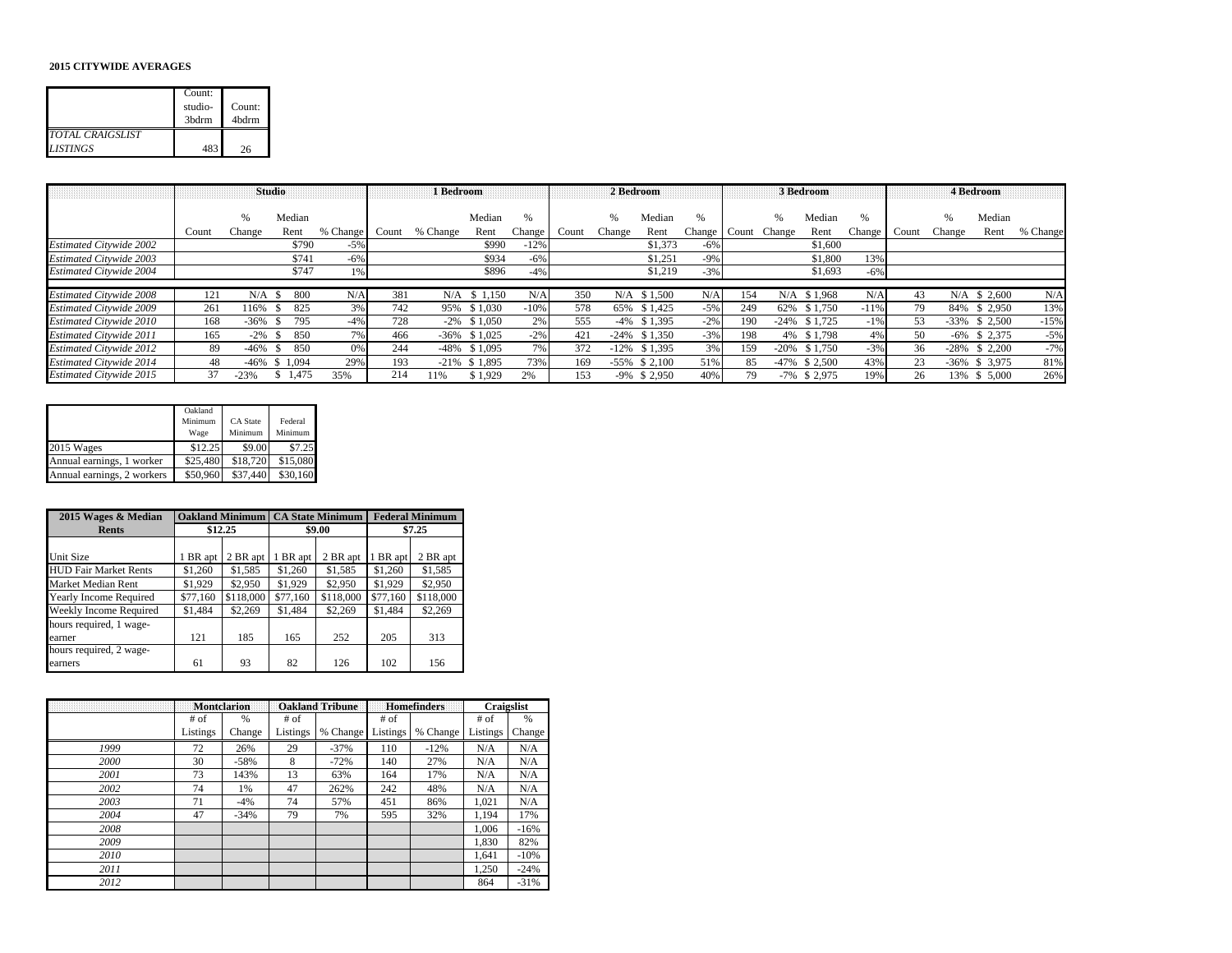#### **2015 CITYWIDE AVERAGES**

|                                            | Count:<br>studio-<br>3bdrm | Count:<br>4 <sub>b</sub> drm |
|--------------------------------------------|----------------------------|------------------------------|
| <b>TOTAL CRAIGSLIST</b><br><b>LISTINGS</b> | 483                        | 26                           |

|                                |       | <b>Studio</b> |             |          |       | 1 Bedroom |                  |        |       | 2 Bedroom |                  |        |       |        | 3 Bedroom        |        |       |        | 4 Bedroom        |          |
|--------------------------------|-------|---------------|-------------|----------|-------|-----------|------------------|--------|-------|-----------|------------------|--------|-------|--------|------------------|--------|-------|--------|------------------|----------|
|                                |       |               |             |          |       |           |                  |        |       |           |                  |        |       |        |                  |        |       |        |                  |          |
|                                |       | %             | Median      |          |       |           | Median           | $\%$   |       |           | Median           | %      |       |        | Median           | $\%$   |       | $\%$   | Median           |          |
|                                | Count | Change        | Rent        | % Change | Count | % Change  | Rent             | Change | Count | Change    | Rent             | Change | Count | Change | Rent             | Change | Count | Change | Rent             | % Change |
| <b>Estimated Citywide 2002</b> |       |               | \$790       | $-5%$    |       |           | \$990            | $-12%$ |       |           | \$1,373          | $-6\%$ |       |        | \$1,600          |        |       |        |                  |          |
| <b>Estimated Citywide 2003</b> |       |               | \$741       | $-6\%$   |       |           | \$934            | $-6%$  |       |           | \$1.251          | $-9%$  |       |        | \$1,800          | 13%    |       |        |                  |          |
| <b>Estimated Citywide 2004</b> |       |               | \$747       | 1%       |       |           | \$896            | $-4%$  |       |           | \$1,219          | $-3%$  |       |        | \$1,693          | $-6%$  |       |        |                  |          |
|                                |       |               |             |          |       |           |                  |        |       |           |                  |        |       |        |                  |        |       |        |                  |          |
| <b>Estimated Citywide 2008</b> | 121   | N/A           | 800<br>- \$ | N/A      | 381   |           | $N/A$ \$ 1.150   | N/A    | 350   |           | $N/A$ \$1.500    | N/A    | 154   |        | N/A \$1.968      | N/A    | 43    |        | $N/A$ \$ 2.600   | N/A      |
| <b>Estimated Citywide 2009</b> | 261   | 116%          | 825<br>-85  | 3%       | 742   |           | 95% \$1,030      | $-10%$ | 578   |           | 65% \$1.425      | $-5%$  | 249   |        | 62\% \$1,750     | $-11%$ | 79    |        | 84% \$ 2.950     | 13%      |
| Estimated Citywide 2010        | 168   | $-36%$        | 795<br>-S.  | $-4%$    | 728   |           | $-2\%$ \$1.050   | 2%     | 555   |           | $-4\%$ \$1.395   | $-2\%$ | 190   |        | $-24\%$ \$1.725  | $-1%$  | 53    |        | $-33\%$ \$ 2.500 | $-15%$   |
| <b>Estimated Citywide 2011</b> | 165   | $-2\%$        | 850<br>- 85 | 7%       | 466   | $-36%$    | \$1,025          | $-2\%$ | 421   |           | $-24\%$ \$1.350  | $-3%$  | 198   |        | 4% \$1,798       | 4%     | 50    |        | $-6\%$ \$ 2,375  | $-5%$    |
| <b>Estimated Citywide 2012</b> | 89    | $-46%$        | 850<br>-8   | 0%       | 244   | $-48%$    | \$1.095          | 7%     | 372   | $-12%$    | \$1.395          | 3%     | 159   |        | $-20\%$ \$1.750  | $-3%$  | 36    | $-28%$ | \$2,200          | $-7%$    |
| <b>Estimated Citywide 2014</b> | 48    | $-46%$        | \$1,094     | 29%      | 193   |           | $-21\%$ \$ 1,895 | 73%    | 169   |           | $-55\%$ \$ 2.100 | 51%    | 85    |        | $-47\%$ \$ 2.500 | 43%    | 23    |        | $-36\%$ \$ 3,975 | 81%      |
| <b>Estimated Citywide 2015</b> | 37    | $-23%$        | \$1.475     | 35%      | 214   | 11%       | \$1.929          | 2%     | 153   |           | $-9\%$ \$ 2,950  | 40%    | 79    |        | $-7\%$ \$ 2,975  | 19%    | 26    |        | 13% \$ 5,000     | 26%      |

|                            | Oakland<br>Minimum<br>Wage | CA State<br>Minimum | Federal<br>Minimum |
|----------------------------|----------------------------|---------------------|--------------------|
| 2015 Wages                 | \$12.25                    | \$9.00              | \$7.25             |
| Annual earnings, 1 worker  | \$25,480                   | \$18,720            | \$15,080           |
| Annual earnings, 2 workers | \$50,960                   | \$37,440            | \$30,160           |

| 2015 Wages & Median          | <b>Oakland Minimum</b> |           |          | <b>CA State Minimum</b> |          | <b>Federal Minimum</b> |
|------------------------------|------------------------|-----------|----------|-------------------------|----------|------------------------|
| <b>Rents</b>                 | \$12.25                |           |          | \$9.00                  |          | \$7.25                 |
|                              |                        |           |          |                         |          |                        |
| Unit Size                    | 1 BR apt               | 2 BR apt  | 1 BR apt | 2 BR apt                | 1 BR apt | 2 BR apt               |
| <b>HUD Fair Market Rents</b> | \$1,260                | \$1,585   | \$1,260  | \$1,585                 | \$1,260  | \$1,585                |
| Market Median Rent           | \$1,929                | \$2,950   | \$1,929  | \$2,950                 | \$1,929  | \$2,950                |
| Yearly Income Required       | \$77,160               | \$118,000 | \$77,160 | \$118,000               | \$77,160 | \$118,000              |
| Weekly Income Required       | \$1,484                | \$2,269   | \$1,484  | \$2,269                 | \$1,484  | \$2,269                |
| hours required, 1 wage-      |                        |           |          |                         |          |                        |
| earner                       | 121                    | 185       | 165      | 252                     | 205      | 313                    |
| hours required, 2 wage-      |                        |           |          |                         |          |                        |
| earners                      | 61                     | 93        | 82       | 126                     | 102      | 156                    |

|      |          | <b>Montclarion</b> |          | <b>Oakland Tribune</b> |          | <b>Homefinders</b> | Craigslist |        |
|------|----------|--------------------|----------|------------------------|----------|--------------------|------------|--------|
|      | $#$ of   | %                  | # of     |                        | $#$ of   |                    | $#$ of     | $\%$   |
|      | Listings | Change             | Listings | % Change               | Listings | % Change           | Listings   | Change |
| 1999 | 72       | 26%                | 29       | $-37%$                 | 110      | $-12%$             | N/A        | N/A    |
| 2000 | 30       | $-58%$             | 8        | $-72%$                 | 140      | 27%                | N/A        | N/A    |
| 2001 | 73       | 143%               | 13       | 63%                    | 164      | 17%                | N/A        | N/A    |
| 2002 | 74       | 1%                 | 47       | 262%                   | 242      | 48%                | N/A        | N/A    |
| 2003 | 71       | $-4%$              | 74       | 57%                    | 451      | 86%                | 1,021      | N/A    |
| 2004 | 47       | $-34%$             | 79       | 7%                     | 595      | 32%                | 1.194      | 17%    |
| 2008 |          |                    |          |                        |          |                    | 1.006      | $-16%$ |
| 2009 |          |                    |          |                        |          |                    | 1,830      | 82%    |
| 2010 |          |                    |          |                        |          |                    | 1.641      | $-10%$ |
| 2011 |          |                    |          |                        |          |                    | 1,250      | $-24%$ |
| 2012 |          |                    |          |                        |          |                    | 864        | $-31%$ |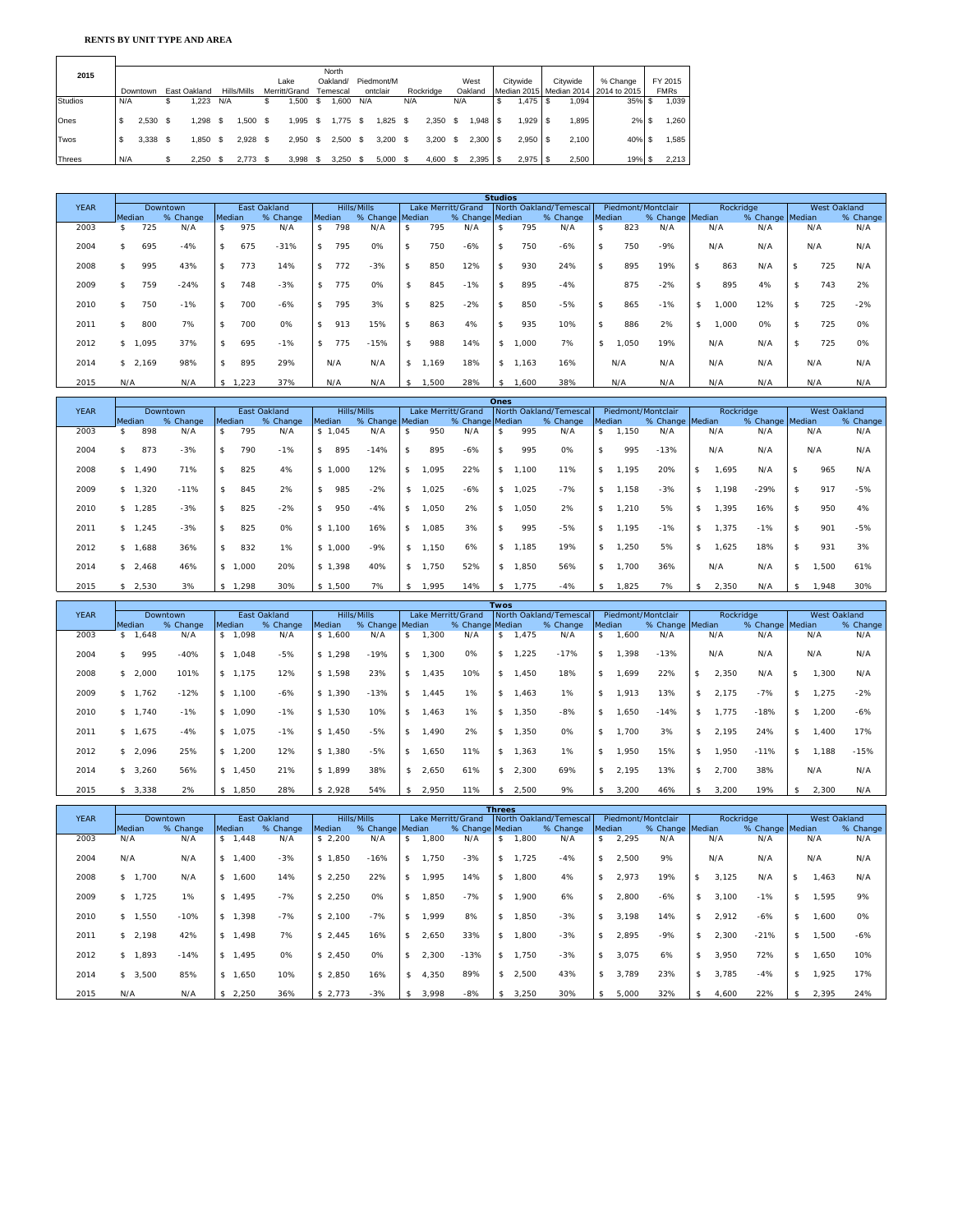#### **RENTS BY UNIT TYPE AND AREA**

 $\overline{\phantom{0}}$ 

| 2015           |     |          |              |     |             |     |               |    | North                |     |            |     |           |     |              |             |          |                                        |             |
|----------------|-----|----------|--------------|-----|-------------|-----|---------------|----|----------------------|-----|------------|-----|-----------|-----|--------------|-------------|----------|----------------------------------------|-------------|
|                |     |          |              |     |             |     | Lake          |    | Oakland/             |     | Piedmont/M |     |           |     | West         | Citywide    | Citywide | % Change                               | FY 2015     |
|                |     | Downtown | East Oakland |     | Hills/Mills |     | Merritt/Grand |    | <sup>r</sup> emescal |     | ontclair   |     | Rockridge |     | Oakland      |             |          | Median 2015 Median 2014   2014 to 2015 | <b>FMRs</b> |
| <b>Studios</b> | N/A |          | 1.223        | N/A |             |     | .500          | S  | .600                 | N/A |            | N/A |           | N/A |              | \$<br>1,475 | ,094     | $35\%$ \$                              | 1,039       |
|                |     |          |              |     |             |     |               |    |                      |     |            |     |           |     |              |             |          |                                        |             |
| Ones           |     | 2.530    | .298         |     | .500        |     | .995          | S  | .775                 | S   | .825       |     | .350      |     |              | .929        | .895     | 2%                                     | 1,260       |
|                |     |          |              |     |             |     |               |    |                      |     |            |     |           |     |              |             |          |                                        |             |
| Twos           |     | 3.338    | .850         |     | 2.928       | \$. | 2.950         | £. | 2.500                |     | 3.200 S    |     | 3.200     |     | $2.300$ \ \$ | 2.950       | 2.100    | 40%                                    | 1,585       |
|                |     |          |              |     |             |     |               |    |                      |     |            |     |           |     |              |             |          |                                        |             |
| <b>Threes</b>  | N/A |          | 2.250        |     | 2.773       |     | 3.998         |    | 3.250                |     | 5.000 S    |     | 4.600     |     | $2,395$ \ \$ | $2,975$ \$  | 2,500    | $19%$ \$                               | 2,213       |

|             |                     |          |        |      |              |        |     |                 |               |      |                    | <b>Studios</b>     |       |                        |                    |        |                    |              |                 |              |          |
|-------------|---------------------|----------|--------|------|--------------|--------|-----|-----------------|---------------|------|--------------------|--------------------|-------|------------------------|--------------------|--------|--------------------|--------------|-----------------|--------------|----------|
| <b>YEAR</b> |                     | Downtown |        |      | East Oakland |        |     | Hills/Mills     |               |      | Lake Merritt/Grand |                    |       | North Oakland/Temescal |                    |        | Piedmont/Montclair | Rockridge    |                 | West Oakland |          |
|             | Median              | % Change | Median |      | % Change     | Median |     | % Change Median |               |      | % Change Median    |                    |       | % Change               |                    | Median | % Change Median    |              | % Change Median |              | % Change |
| 2003        | 725                 | N/A      | \$     | 975  | N/A          | \$     | 798 | N/A             |               | 795  | N/A                |                    | 795   | N/A                    | $\mathbf{\hat{s}}$ | 823    | N/A                | N/A          | N/A             | N/A          | N/A      |
| 2004        | 695<br>ፍ            | $-4%$    | \$.    | 675  | $-31%$       | s.     | 795 | 0%              | \$            | 750  | $-6%$              | s.                 | 750   | $-6%$                  | \$                 | 750    | $-9%$              | N/A          | N/A             | N/A          | N/A      |
| 2008        | 995<br>\$           | 43%      |        | 773  | 14%          | \$     | 772 | $-3%$           | <sup>\$</sup> | 850  | 12%                |                    | 930   | 24%                    | \$                 | 895    | 19%                | \$<br>863    | N/A             | 725          | N/A      |
| 2009        | 759                 | $-24%$   |        | 748  | $-3%$        |        | 775 | 0%              | s.            | 845  | $-1%$              |                    | 895   | $-4%$                  |                    | 875    | $-2%$              | \$<br>895    | 4%              | 743          | 2%       |
| 2010        | 750<br>\$           | $-1%$    | \$.    | 700  | $-6%$        | s.     | 795 | 3%              | \$            | 825  | $-2%$              | $\mathbf{\hat{s}}$ | 850   | $-5%$                  | $\mathfrak{L}$     | 865    | $-1%$              | \$<br>000, I | 12%             | \$<br>725    | $-2%$    |
| 2011        | 800<br>\$           | 7%       |        | 700  | 0%           | \$     | 913 | 15%             | $\mathcal{S}$ | 863  | 4%                 |                    | 935   | 10%                    | \$                 | 886    | 2%                 | \$<br>000, I | 0%              | \$<br>725    | 0%       |
| 2012        | 1,095<br>$^{\circ}$ | 37%      | \$     | 695  | $-1%$        | s.     | 775 | $-15%$          | s.            | 988  | 14%                | \$                 | i,000 | 7%                     | \$.                | ,050   | 19%                | N/A          | N/A             | 725          | 0%       |
| 2014        | \$2,169             | 98%      | \$     | 895  | 29%          |        | N/A | N/A             | s.            | .169 | 18%                | \$                 | 1.163 | 16%                    |                    | N/A    | N/A                | N/A          | N/A             | N/A          | N/A      |
| 2015        | N/A                 | N/A      | \$     | .223 | 37%          |        | N/A | N/A             | s.            | .500 | 28%                |                    | .600  | 38%                    |                    | N/A    | N/A                | N/A          | N/A             | N/A          | N/A      |

|             |        |         |          |                    |         |              |        |         |                 |                    |       |                    | Ones        |          |                        |        |       |                    |     |           |                 |     |              |          |
|-------------|--------|---------|----------|--------------------|---------|--------------|--------|---------|-----------------|--------------------|-------|--------------------|-------------|----------|------------------------|--------|-------|--------------------|-----|-----------|-----------------|-----|--------------|----------|
| <b>YEAR</b> |        |         | Downtown |                    |         | East Oakland |        |         | Hills/Mills     |                    |       | Lake Merritt/Grand |             |          | North Oakland/Temescal |        |       | Piedmont/Montclair |     | Rockridge |                 |     | West Oakland |          |
|             | Median |         | % Change | Median             |         | % Change     | Median |         | % Change Median |                    |       | % Change Median    |             |          | % Change               | Median |       | % Change Median    |     |           | % Change Median |     |              | % Change |
| 2003        |        | 898     | N/A      | \$                 | 795     | N/A          |        | \$1.045 | N/A             | \$                 | 950   | N/A                |             | 995      | N/A                    | \$     | 1,150 | N/A                |     | N/A       | N/A             |     | N/A          | N/A      |
| 2004        |        | 873     | $-3%$    | \$                 | 790     | $-1%$        | s.     | 895     | $-14%$          | $\mathbf{\hat{S}}$ | 895   | $-6%$              |             | 995      | 0%                     | \$     | 995   | $-13%$             |     | N/A       | N/A             |     | N/A          | N/A      |
| 2008        |        | \$1,490 | 71%      | \$                 | 825     | 4%           |        | \$1,000 | 12%             | \$                 | 1,095 | 22%                | s.          | 1,100    | 11%                    | \$     | 1,195 | 20%                | -S  | 1,695     | N/A             | s.  | 965          | N/A      |
| 2009        |        | \$1,320 | $-11%$   | $\mathbf{\hat{s}}$ | 845     | 2%           | \$     | 985     | $-2%$           | s.                 | 1,025 | $-6%$              | \$          | 1,025    | $-7%$                  | \$     | 1,158 | $-3%$              | S.  | ,198      | $-29%$          | s.  | 917          | $-5%$    |
| 2010        |        | \$1,285 | $-3%$    | \$                 | 825     | $-2%$        | s.     | 950     | $-4%$           | \$                 | 1,050 | 2%                 | s.          | 1,050    | 2%                     | \$     | 1,210 | 5%                 | s.  | 1,395     | 16%             | -S  | 950          | 4%       |
| 2011        |        | \$1,245 | $-3%$    | \$                 | 825     | 0%           |        | \$1.100 | 16%             | \$                 | 1.085 | 3%                 |             | 995      | $-5%$                  | \$     | 1.195 | $-1%$              | \$. | 1.375     | $-1%$           | -S  | 901          | $-5%$    |
| 2012        |        | \$1,688 | 36%      | \$                 | 832     | $1\%$        |        | \$1,000 | $-9%$           | s.                 | 1,150 | 6%                 |             | \$ 1,185 | 19%                    | \$     | 1,250 | 5%                 | \$  | 1,625     | 18%             | -S  | 931          | 3%       |
| 2014        |        | \$2,468 | 46%      |                    | \$1,000 | 20%          |        | \$1.398 | 40%             | s.                 | 1.750 | 52%                | s.          | 1.850    | 56%                    | \$     | 1.700 | 36%                |     | N/A       | N/A             | \$  | 1,500        | 61%      |
| 2015        |        | \$2,530 | 3%       | \$                 | 1,298   | 30%          |        | \$1,500 | 7%              | s.                 | 1,995 | 14%                | -S          | 1,775    | $-4%$                  | \$     | 1,825 | 7%                 |     | 2,350     | N/A             | -\$ | 1,948        | 30%      |
|             |        |         |          |                    |         |              |        |         |                 |                    |       |                    | <b>Twos</b> |          |                        |        |       |                    |     |           |                 |     |              |          |

|             | <b>Twos</b> |          |                |         |              |         |                 |                |       |                    |     |       |                        |                    |       |                    |     |           |                 |                    |              |          |
|-------------|-------------|----------|----------------|---------|--------------|---------|-----------------|----------------|-------|--------------------|-----|-------|------------------------|--------------------|-------|--------------------|-----|-----------|-----------------|--------------------|--------------|----------|
| <b>YEAR</b> |             | Downtown |                |         | East Oakland |         | Hills/Mills     |                |       | Lake Merritt/Grand |     |       | North Oakland/Temescal |                    |       | Piedmont/Montclair |     | Rockridge |                 |                    | West Oakland |          |
|             | Median      | % Change | Median         |         | % Change     | Median  | % Change Median |                |       | % Change Median    |     |       | % Change               | Median             |       | % Change Median    |     |           | % Change Median |                    |              | % Change |
| 2003        | \$1.648     | N/A      |                | \$1.098 | N/A          | \$1.600 | N/A             | $\mathfrak{L}$ | 1.300 | N/A                | S.  | 1.475 | N/A                    | \$                 | 1.600 | N/A                |     | N/A       | N/A             |                    | N/A          | N/A      |
| 2004        | 995         | $-40%$   | $$^{\circ}$    | .048    | $-5%$        | \$1,298 | $-19%$          | \$             | .300  | 0%                 | \$. | ,225  | $-17%$                 | \$                 | .398  | $-13%$             |     | N/A       | N/A             |                    | N/A          | N/A      |
| 2008        | \$2,000     | 101%     | \$1            | .175    | 12%          | \$1,598 | 23%             | -\$            | 1,435 | 10%                | \$  | 1.450 | 18%                    | \$                 | ,699  | 22%                | -S  | 2,350     | N/A             | -S                 | 1.300        | N/A      |
| 2009        | \$1,762     | $-12%$   | \$1            | .100    | $-6%$        | \$1,390 | $-13%$          | -\$            | 1,445 | 1%                 | \$  | 1,463 | 1%                     | \$                 | 1,913 | 13%                | \$  | 2,175     | $-7%$           | $\mathbf{\hat{s}}$ | ,275         | $-2%$    |
| 2010        | \$1,740     | $-1%$    | $$^{\circ}$    | .090    | $-1%$        | \$1,530 | 10%             | -\$            | 1,463 | 1%                 | \$. | 1,350 | $-8%$                  | $\mathbf{s}$       | ,650  | $-14%$             | S.  | 1.775     | $-18%$          | $\mathbf{\hat{s}}$ | .200         | $-6%$    |
| 2011        | \$1,675     | $-4%$    | $$^{\circ}$    | .075    | $-1%$        | \$1,450 | $-5%$           | \$             | 1,490 | 2%                 | \$. | 1,350 | 0%                     | \$                 | .700  | 3%                 | \$. | 2,195     | 24%             | $\mathbf{\hat{S}}$ | 1.400        | 17%      |
| 2012        | \$2.096     | 25%      | $$^{\circ}$    | .200    | 12%          | \$1,380 | $-5%$           | -\$            | 1.650 | 11%                | \$  | 1.363 | 1%                     | $\mathbf{\hat{s}}$ | 1.950 | 15%                | \$  | 1.950     | $-11%$          | -\$                | 1.188        | $-15%$   |
| 2014        | \$3,260     | 56%      | S <sub>1</sub> | .450    | 21%          | \$1,899 | 38%             | s.             | 2,650 | 61%                | \$  | 2,300 | 69%                    | \$                 | 2.195 | 13%                | \$  | 2,700     | 38%             |                    | N/A          | N/A      |
| 2015        | \$3,338     | 2%       | s ·            | ,850    | 28%          | \$2,928 | 54%             | - \$           | 2,950 | 11%                |     | 2,500 | 9%                     | \$                 | 3,200 | 46%                |     | 3,200     | 19%             | - \$               | 2,300        | N/A      |

|             | <b>Threes</b> |          |                      |              |               |                 |                    |       |                    |    |       |                        |                       |        |                    |     |           |                 |                    |              |          |
|-------------|---------------|----------|----------------------|--------------|---------------|-----------------|--------------------|-------|--------------------|----|-------|------------------------|-----------------------|--------|--------------------|-----|-----------|-----------------|--------------------|--------------|----------|
| <b>YEAR</b> |               | Downtown |                      | East Oakland |               | Hills/Mills     |                    |       | Lake Merritt/Grand |    |       | North Oakland/Temescal |                       |        | Piedmont/Montclair |     | Rockridge |                 |                    | West Oakland |          |
|             | Median        | % Change | <b>Median</b>        | % Change     | <b>Median</b> | % Change Median |                    |       | % Change Median    |    |       | % Change               |                       | Median | % Change Median    |     |           | % Change Median |                    |              | % Change |
| 2003        | N/A           | N/A      | .448<br>\$1          | N/A          | \$2.200       | N/A             |                    | .800  | N/A                | S. | 1.800 | N/A                    | 2,295<br>$\mathbf{s}$ |        | N/A                | N/A |           | N/A             | N/A                |              | N/A      |
| 2004        | N/A           | N/A      | .400<br>$\mathbf{s}$ | $-3%$        | \$1.850       | $-16%$          | \$                 | .750  | $-3%$              | s. | 1.725 | $-4%$                  | \$                    | 2,500  | 9%                 |     | N/A       | N/A             |                    | N/A          | N/A      |
| 2008        | \$1,700       | N/A      | .600<br>S            | 14%          | \$2,250       | 22%             | \$                 | .995  | 14%                | s. | 1,800 | 4%                     | \$                    | 2,973  | 19%                | s.  | 3,125     | N/A             | s.                 | 1.463        | N/A      |
| 2009        | \$1,725       | $1\%$    | .495<br>\$1          | $-7%$        | \$2,250       | 0%              | $\mathbf{\hat{s}}$ | ,850  | $-7%$              | s. | 1.900 | 6%                     | \$                    | 2,800  | $-6%$              |     | 3,100     | $-1%$           | \$                 | 1.595        | 9%       |
| 2010        | \$1,550       | $-10%$   | .398<br>$\mathbf{s}$ | $-7%$        | \$2.100       | $-7%$           | $\mathbf{\hat{s}}$ | .999  | 8%                 | s. | ,850  | $-3%$                  | \$                    | 3.198  | 14%                | \$  | 2,912     | $-6%$           | $\mathbf{\hat{s}}$ | .600         | 0%       |
| 2011        | \$2.198       | 42%      | $\mathbb{S}$<br>.498 | 7%           | \$2,445       | 16%             | $\mathsf{\$}$      | 2,650 | 33%                | s. | 1.800 | $-3%$                  | $\mathbf{s}$          | 2,895  | $-9%$              | \$  | 2,300     | $-21%$          | -\$                | 1.500        | $-6%$    |
| 2012        | \$1,893       | $-14%$   | S<br>.495            | 0%           | \$2.450       | 0%              | $\mathsf{\$}$      | 2,300 | $-13%$             | s. | 1.750 | $-3%$                  | \$                    | 3,075  | 6%                 | S.  | 3,950     | 72%             | -\$                | 1,650        | 10%      |
| 2014        | \$3,500       | 85%      | $\mathbf{s}$<br>.650 | 10%          | \$2,850       | 16%             | \$                 | 4,350 | 89%                | s. | 2,500 | 43%                    | $\mathbf{\hat{s}}$    | 3.789  | 23%                | \$. | 3.785     | $-4%$           | -\$                | 1.925        | 17%      |
| 2015        | N/A           | N/A      | 2,250                | 36%          | \$2,773       | $-3%$           |                    | 3,998 | $-8%$              |    | 3,250 | 30%                    |                       | 5,000  | 32%                |     | 4,600     | 22%             | - \$               | 2.395        | 24%      |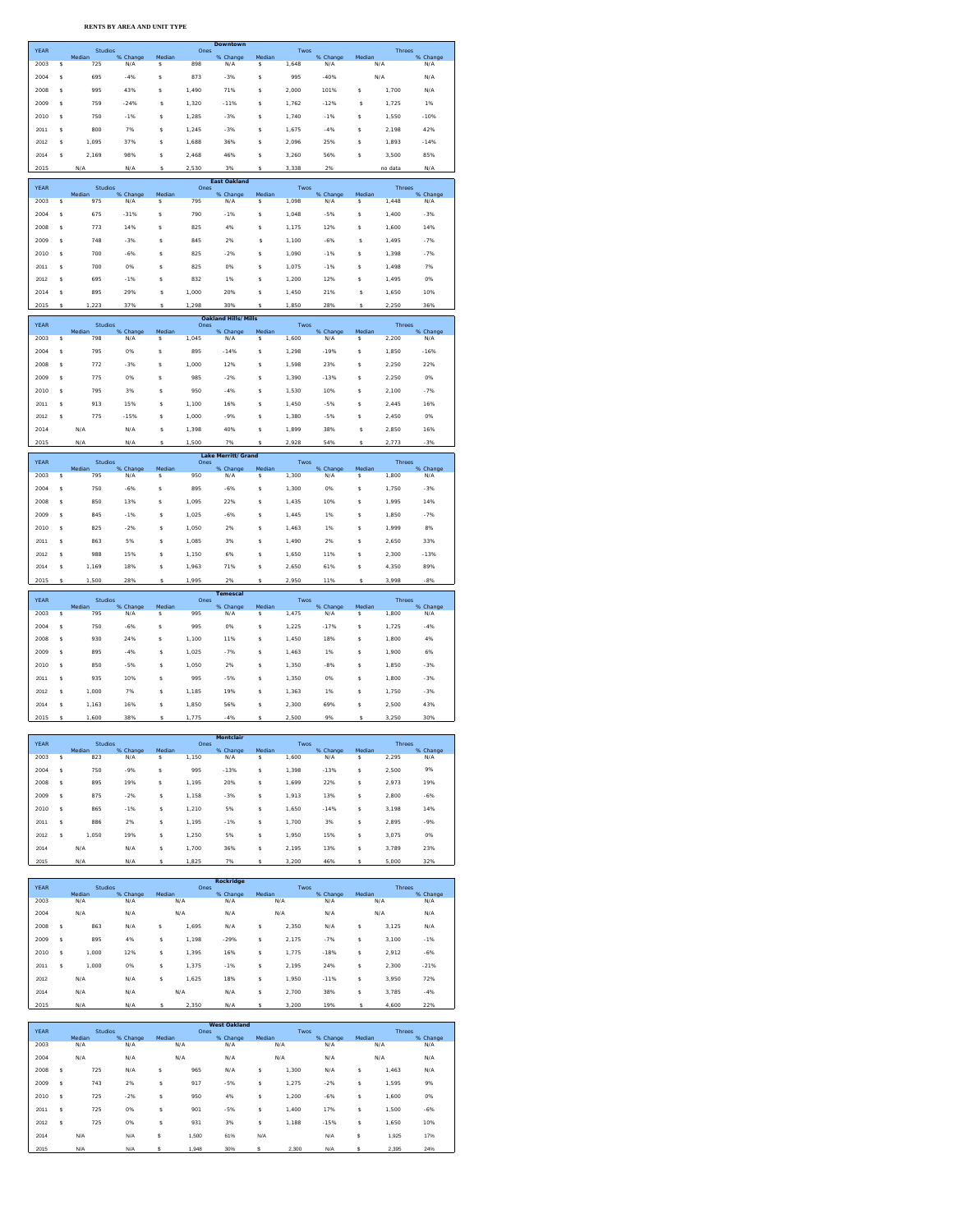**RENTS BY AREA AND UNIT TYPE**

| <b>YEAR</b> |    | <b>Studios</b>    |                 |              | Downtown<br>Ones |                            |             | Twos  |                 |             | <b>Threes</b> |                 |
|-------------|----|-------------------|-----------------|--------------|------------------|----------------------------|-------------|-------|-----------------|-------------|---------------|-----------------|
|             |    | Median            | % Change        | Median       |                  | % Change                   | Median      |       | % Change        | Median      |               | % Change        |
| 2003        | s  | 725               | N/A             | s            | 898              | N/A                        | \$          | 1,648 | N/A             |             | N/A           | N/A             |
| 2004        | Ś  | 695               | $-4%$           | s            | 873              | $-3%$                      | Ś           | 995   | $-40%$          |             | N/A           | N/A             |
| 2008        | S  | 995               | 43%             | Ś            | 1,490            | 71%                        | \$          | 2,000 | 101%            | \$          | 1,700         | N/A             |
| 2009        | s  | 759               | $-24%$          | s            | 1.320            | $-11%$                     | s           | 1.762 | $-12%$          | s           | 1.725         | 1%              |
| 2010        | s  | 750               | $-1%$           | s            | 1,285            | $-3%$                      | \$          | 1,740 | $-1%$           | Ś           | 1,550         | $-10%$          |
| 2011        | Ś  | 800               | 7%              | Ś            |                  | $-3%$                      | Ś           |       | $-4%$           | Ś           | 2.198         | 42%             |
|             |    |                   |                 |              | 1,245            |                            |             | 1,675 |                 |             |               |                 |
| 2012        | s  | 1.095             | 37%             | s            | 1.688            | 36%                        | Ś           | 2.096 | 25%             | Ś           | 1.893         | $-14%$          |
| 2014        | \$ | 2.169             | 98%             | s            | 2,468            | 46%                        | \$          | 3,260 | 56%             | \$          | 3,500         | 85%             |
| 2015        |    | N/A               | N/A             | Ś,           | 2.530            | 3%                         | Ś,          | 3.338 | 2%              |             | no data       | N/A             |
|             |    |                   |                 |              |                  | <b>East Oakland</b>        |             |       |                 |             |               |                 |
| <b>YEAR</b> |    | Studios<br>Median | % Change        | Median       | Ones             | % Change                   | Median      | Twos  | % Change        | Median      | <b>Threes</b> | % Change        |
| 2003        | s  | 975               | N/A             | s            | 795              | N/A                        | s           | 1.098 | N/A             | s           | 1.448         | N/A             |
| 2004        | S  | 675               | $-31%$          | s            | 790              | $-1%$                      | \$          | 1,048 | $-5%$           | \$          | 1,400         | $-3%$           |
| 2008        | Ś  | 773               | 14%             | s            | 825              | 4%                         | \$          | 1,175 | 12%             | Ś           | 1,600         | 14%             |
| 2009        | s  | 748               | $-3%$           | s            | 845              | 2%                         | s           | 1.100 | $-6%$           | s           | 1.495         | $-7%$           |
| 2010        | S  | 700               | $-6%$           | Ś            | 825              | $-2%$                      | \$          | 1,090 | $-1%$           | \$          | 1,398         | $-7%$           |
| 2011        | s  | 700               | 0%              | s            | 825              | 0%                         | Ś           | 1.075 | $-1%$           | Ś           | 1.498         | 7%              |
| 2012        | S  | 695               | $-1%$           | Ś            | 832              | 1%                         | \$          | 1,200 | 12%             | \$          | 1,495         | 0%              |
|             |    |                   |                 |              |                  |                            |             |       |                 |             |               |                 |
| 2014        | Ś  | 895               | 29%             | Ś            | 1,000            | 20%                        | Ś           | 1,450 | 21%             | s           | 1,650         | 10%             |
| 2015        |    | 223               | 37%             |              | ٦<br>.298        | 30%                        |             | 1.850 | 28%             |             | 2.250         | 36%             |
| <b>YEAR</b> |    | Studios           |                 |              | Ones             | <b>Oakland Hills/Mills</b> |             | Twos  |                 |             | <b>Threes</b> |                 |
| 2003        | s  | Median<br>798     | % Change<br>N/A | Median<br>s  | 1.045            | % Change<br>N/A            | Median<br>s | 1.600 | % Change<br>N/A | Median<br>s | 2.200         | % Change<br>N/A |
|             |    |                   |                 |              |                  |                            |             |       |                 |             |               |                 |
| 2004        | s  | 795               | 0%              | \$           | 895              | $-14%$                     | \$          | 1,298 | $-19%$          | \$          | 1,850         | $-16%$          |
| 2008        | s  | 772               | $-3%$           | s            | 1.000            | 12%                        | Ś           | 1.598 | 23%             | s           | 2.250         | 22%             |
| 2009        | s  | 775               | 0%              | Ś            | 985              | $-2%$                      | \$          | 1,390 | $-13%$          | \$          | 2,250         | 0%              |
| 2010        | Ś  | 795               | 3%              | Ś            | 950              | $-4%$                      | Ś           | 1,530 | 10%             | Ś           | 2.100         | $-7%$           |
| 2011        | s  | 913               | 15%             | s            | 1.100            | 16%                        | Ś           | 1.450 | $-5%$           | s           | 2.445         | 16%             |
| 2012        | s  | 775               | $-15%$          | s            | 1,000            | $-9%$                      | \$          | 1,380 | $-5%$           | \$          | 2,450         | 0%              |
| 2014        |    | N/A               | N/A             | Ś            | 1.398            | 40%                        | Ś           | 1.899 | 38%             | s           | 2.850         | 16%             |
| 2015        |    | N/f               | N/A             | Ś            | 1,500            | 7%                         |             | 2,928 | 54%             | s           | 2,773         | $-3%$           |
|             |    |                   |                 |              |                  | <b>Lake Merritt/Grand</b>  |             |       |                 |             |               |                 |
| <b>YEAR</b> |    | Studios           |                 |              | Ones             |                            | Median      | Twos  |                 | Median      | Threes        |                 |
| 2003        | \$ | Median<br>795     | % Change<br>N/A | Median<br>\$ | 950              | % Change<br>N/A            | \$          | 1,300 | % Change<br>N/A | \$          | 1,800         | % Change<br>N/A |
| 2004        |    |                   |                 |              |                  |                            |             |       |                 |             |               |                 |
|             | Ś  | 750               | $-6%$           | s            | 895              | $-6%$                      | \$          | 1.300 | 0%              | \$          | 1.750         | $-3%$           |
|             |    |                   |                 |              |                  |                            |             |       |                 |             |               |                 |
| 2008        | s  | 850               | 13%             | s            | 1.095            | 22%                        | Ś           | 1.435 | 10%             | s           | 1.995         | 14%             |
| 2009        | S  | 845               | $-1%$           | s            | 1,025            | $-6%$                      | \$          | 1,445 | 1%              | \$          | 1,850         | $-7%$           |
| 2010        | s  | 825               | $-2%$           | s            | 1.050            | 2%                         | Ś           | 1.463 | 1%              | s           | 1.999         | 8%              |
| 2011        | S  | 863               | 5%              | Ś            | 1,085            | 3%                         | \$          | 1,490 | 2%              | \$          | 2,650         | 33%             |
| 2012        | Ś  | 988               | 15%             | Ś            | 1,150            | 6%                         | Ś           | 1,650 | 11%             | Ś           | 2.300         | $-13%$          |
| 2014        | s  | 1.169             | 18%             | s            | 1.963            | 71%                        | Ś           | 2.650 | 61%             | s           | 4.350         | 89%             |
| 2015        | s  | 1,500             | 28%             | Ś            | 1,995            | 2%                         | s           | 2,950 | 11%             |             | 3,998         | $-8%$           |
|             |    |                   |                 |              |                  | <b>Temescal</b>            |             |       |                 |             |               |                 |
| <b>YEAR</b> |    | Studios<br>Median | % Change        | Median       | Ones             | % Change                   | Median      | Twos  | % Change        | Median      | <b>Threes</b> | % Change        |
| 2003        | \$ | 795               | N/A             | \$           | 995              | N/A                        | \$          | 1,475 | N/A             | \$          | 1,800         | N/A             |
| 2004        | s  | 750               | $-6%$           | s            | 995              | 0%                         | \$          | 1,225 | $-17%$          | \$          | 1,725         | $-4%$           |
| 2008        | s  | 930               | 24%             | s            | 1.100            | 11%                        | Ś           | 1.450 | 18%             | s           | 1.800         | 4%              |
| 2009        | S  | 895               | $-4%$           | S            | 1,025            | $-7%$                      | \$          | 1,463 | 1%              | \$          | 1,900         | 6%              |
| 2010        | s  | 850               | $-5%$           | s            | 1.050            | 2%                         | Ś           | 1.350 | $-8%$           | s           | 1.850         | $-3%$           |
| 2011        | S  | 935               | 10%             | Ś            | 995              | $-5%$                      | \$          | 1,350 | 0%              | \$          | 1,800         | $-3%$           |
| 2012        | Ś  | 1,000             | 7%              | Ś            | 1,185            | 19%                        | \$          | 1,363 | 1%              | \$          | 1,750         | $-3%$           |
|             |    |                   |                 |              |                  |                            |             |       |                 |             |               |                 |
| 2014        | s  | 1.163             | 16%             | s            | 1.850            | 56%                        | Ś           | 2.300 | 69%             | s           | 2.500         | 43%             |
| 2015        | Ś  | 1,600             | 38%             | Ś            | 1,775            | 4%                         | ś           | 2,500 | 9%              | Ś           | 3,250         | 30%             |
|             |    |                   |                 |              |                  | Montclair                  |             |       |                 |             |               |                 |
| YEAR        |    | Studios<br>Median |                 | Median       | Ones             |                            | Median      | Twos  |                 | Median      | <b>Threes</b> | % Change        |
| 2003        | s  | 823               | % Change<br>N/A | \$           | 1,150            | % Change<br>N/A            | \$          | 1,600 | % Change<br>N/A | \$          | 2.295         | N/A             |
| 2004        | s  | 750               | $-9%$           | s            | 995              | $-13%$                     | Ś           | 1,398 | $-13%$          | Ś           | 2.500         | 9%              |
| 2008        | \$ | 895               | 19%             | \$           | 1,195            | 20%                        | \$          | 1,699 | 22%             | \$          | 2,973         | 19%             |
| 2009        | Ś  | 875               | $-2%$           | Ś            | 1,158            | $-3%$                      | Ś           | 1,913 | 13%             | Ś           | 2.800         | $-6%$           |
| 2010        | \$ | 865               | $-1%$           | \$           | 1,210            | 5%                         | \$          | 1,650 | $-14%$          | \$          | 3,198         | 14%             |
| 2011        | Ś  | 886               | 2%              | s            |                  | $-1%$                      | \$          |       | 3%              | \$          | 2,895         | $-9%$           |
|             |    |                   |                 |              | 1,195            |                            |             | 1,700 |                 |             |               |                 |
| 2012        | s  | 1.050             | 19%             | Ś            | 1.250            | 5%                         | Ś           | 1,950 | 15%             | Ś           | 3.075         | 0%              |
| 2014        |    | N/A               | N/A             | \$           | 1,700            | 36%                        | \$          | 2,195 | 13%             | \$          | 3,789         | 23%             |
| 2015        |    | N/A               | N/A             | Ś            | 1,825            | 7%                         | Ś           | 3,200 | 46%             | Ś           | 5.000         | 32%             |
|             |    |                   |                 |              |                  |                            |             |       |                 |             |               |                 |
| <b>YEAR</b> |    | Studios<br>Median |                 | Median       | Ones             | Rockridge                  |             | Twos  |                 | Median      | Threes        |                 |
| 2003        |    | N/A               | % Change<br>N/A | N/A          |                  | % Change<br>N/A            | Median      | N/A   | % Change<br>N/A |             | N/A           | % Change<br>N/A |
| 2004        |    | N/A               | N/A             |              | N/A              | N/A                        |             | N/A   | N/A             |             | N/A           | N/A             |

| zuus |   | N/N        | 13773 |   | 13773 | $\mathbf{v}$ | 13773 |       | 1377   |   | 13773 | 13/73  |
|------|---|------------|-------|---|-------|--------------|-------|-------|--------|---|-------|--------|
| 2004 |   | N/A        | N/A   |   | N/A   | N/A          |       | N/A   | N/A    |   | N/A   | N/A    |
| 2008 | s | 863        | N/A   | s | 1.695 | N/A          | s.    | 2.350 | N/A    | s | 3.125 | N/A    |
| 2009 | s | 895        | 4%    | s | 1.198 | $-29%$       | \$    | 2.175 | $-7%$  | s | 3.100 | $-1%$  |
| 2010 | s | 1.000      | 12%   | s | 1.395 | 16%          | s.    | 1.775 | $-18%$ | s | 2.912 | $-6%$  |
| 2011 | s | 1.000      | 0%    | s | 1.375 | $-1%$        | \$    | 2.195 | 24%    | s | 2.300 | $-21%$ |
| 2012 |   | N/A        | N/A   | s | 1,625 | 18%          | \$    | 1.950 | $-11%$ | s | 3.950 | 72%    |
| 2014 |   | N/A        | N/A   |   | N/A   | N/A          | s.    | 2.700 | 38%    | s | 3.785 | $-4%$  |
| 2015 |   | N/A<br>N/A |       |   | 2.350 | N/A          |       | 3.200 | 19%    |   | 4.600 | 22%    |

|             |          |                |          |            | <b>West Oakland</b> |          |        |       |          |        |               |          |
|-------------|----------|----------------|----------|------------|---------------------|----------|--------|-------|----------|--------|---------------|----------|
| <b>YEAR</b> |          | <b>Studios</b> |          |            | Ones                |          |        | Twos  |          |        | <b>Threes</b> |          |
|             |          | Median         | % Change | Median     |                     | % Change | Median |       | % Change | Median |               | % Change |
| 2003        |          | N/A            | N/A      |            | N/A                 | N/A      |        | N/A   | N/A      |        | N/A           | N/A      |
| 2004        | N/A      |                | N/A      |            | N/A                 | N/A      |        | N/A   | N/A      |        | N/A           | N/A      |
| 2008        | 725<br>s |                | N/A      | s          | 965                 | N/A      | \$     | 1.300 | N/A      | \$     | 1.463         | N/A      |
| 2009        | s        | 743            | 2%       | s          | 917                 | $-5%$    | \$     | 1.275 | $-2%$    | \$     | 1.595         | 9%       |
| 2010        | s        | 725            | $-2%$    | s          | 950                 | 4%       | s.     | 1,200 | $-6%$    | \$     | 1,600         | 0%       |
| 2011        | s        | 725            | 0%       | s          | 901                 | $-5%$    | \$     | 1.400 | 17%      | \$     | 1.500         | $-6%$    |
| 2012        | s        | 725<br>0%      |          | s          | 931                 | 3%       | \$     | 1.188 | $-15%$   | \$     | 1.650         | 10%      |
| 2014        | N/A      |                | N/A      | s<br>1.500 |                     | 61%      | N/A    |       | N/A      | Ś      | 1,925         | 17%      |
| 2015        | N/A      |                | N/A      | s          | 1.948               | 30%      | Ś.     | 2.300 | N/A      | Ś.     | 2.395         | 24%      |